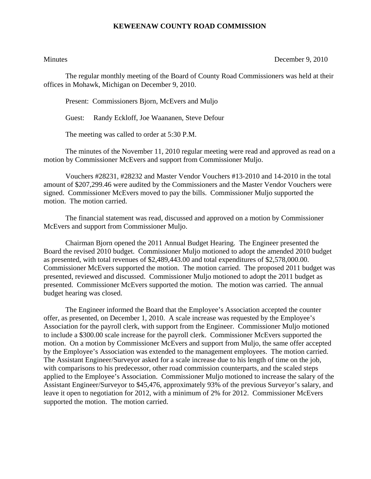## **KEWEENAW COUNTY ROAD COMMISSION**

Minutes December 9, 2010

The regular monthly meeting of the Board of County Road Commissioners was held at their offices in Mohawk, Michigan on December 9, 2010.

Present: Commissioners Bjorn, McEvers and Muljo

Guest: Randy Eckloff, Joe Waananen, Steve Defour

The meeting was called to order at 5:30 P.M.

 The minutes of the November 11, 2010 regular meeting were read and approved as read on a motion by Commissioner McEvers and support from Commissioner Muljo.

 Vouchers #28231, #28232 and Master Vendor Vouchers #13-2010 and 14-2010 in the total amount of \$207,299.46 were audited by the Commissioners and the Master Vendor Vouchers were signed. Commissioner McEvers moved to pay the bills. Commissioner Muljo supported the motion. The motion carried.

 The financial statement was read, discussed and approved on a motion by Commissioner McEvers and support from Commissioner Muljo.

 Chairman Bjorn opened the 2011 Annual Budget Hearing. The Engineer presented the Board the revised 2010 budget. Commissioner Muljo motioned to adopt the amended 2010 budget as presented, with total revenues of \$2,489,443.00 and total expenditures of \$2,578,000.00. Commissioner McEvers supported the motion. The motion carried. The proposed 2011 budget was presented, reviewed and discussed. Commissioner Muljo motioned to adopt the 2011 budget as presented. Commissioner McEvers supported the motion. The motion was carried. The annual budget hearing was closed.

 The Engineer informed the Board that the Employee's Association accepted the counter offer, as presented, on December 1, 2010. A scale increase was requested by the Employee's Association for the payroll clerk, with support from the Engineer. Commissioner Muljo motioned to include a \$300.00 scale increase for the payroll clerk. Commissioner McEvers supported the motion. On a motion by Commissioner McEvers and support from Muljo, the same offer accepted by the Employee's Association was extended to the management employees. The motion carried. The Assistant Engineer/Surveyor asked for a scale increase due to his length of time on the job, with comparisons to his predecessor, other road commission counterparts, and the scaled steps applied to the Employee's Association. Commissioner Muljo motioned to increase the salary of the Assistant Engineer/Surveyor to \$45,476, approximately 93% of the previous Surveyor's salary, and leave it open to negotiation for 2012, with a minimum of 2% for 2012. Commissioner McEvers supported the motion. The motion carried.